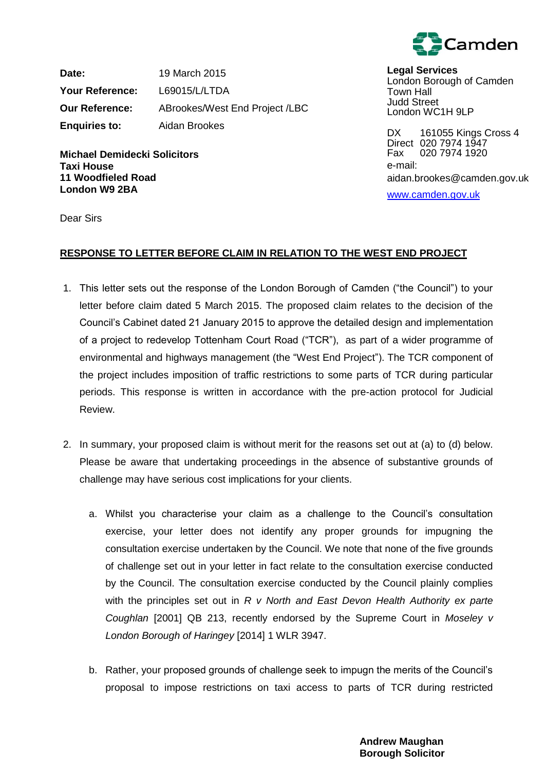

**Date:** 19 March 2015 **Your Reference:** L69015/L/LTDA **Our Reference:** ABrookes/West End Project /LBC **Enquiries to:** Aidan Brookes

**Michael Demidecki Solicitors Taxi House 11 Woodfieled Road London W9 2BA**

**Legal Services** London Borough of Camden Town Hall Judd Street London WC1H 9LP

DX 161055 Kings Cross 4 Direct 020 7974 1947 Fax 020 7974 1920 e-mail: aidan.brookes@camden.gov.uk

[www.camden.gov.uk](http://www.camden.gov.uk/)

Dear Sirs

# **RESPONSE TO LETTER BEFORE CLAIM IN RELATION TO THE WEST END PROJECT**

- 1. This letter sets out the response of the London Borough of Camden ("the Council") to your letter before claim dated 5 March 2015. The proposed claim relates to the decision of the Council's Cabinet dated 21 January 2015 to approve the detailed design and implementation of a project to redevelop Tottenham Court Road ("TCR"), as part of a wider programme of environmental and highways management (the "West End Project"). The TCR component of the project includes imposition of traffic restrictions to some parts of TCR during particular periods. This response is written in accordance with the pre-action protocol for Judicial Review.
- 2. In summary, your proposed claim is without merit for the reasons set out at (a) to (d) below. Please be aware that undertaking proceedings in the absence of substantive grounds of challenge may have serious cost implications for your clients.
	- a. Whilst you characterise your claim as a challenge to the Council's consultation exercise, your letter does not identify any proper grounds for impugning the consultation exercise undertaken by the Council. We note that none of the five grounds of challenge set out in your letter in fact relate to the consultation exercise conducted by the Council. The consultation exercise conducted by the Council plainly complies with the principles set out in *R v North and East Devon Health Authority ex parte Coughlan* [2001] QB 213, recently endorsed by the Supreme Court in *Moseley v London Borough of Haringey* [2014] 1 WLR 3947.
	- b. Rather, your proposed grounds of challenge seek to impugn the merits of the Council's proposal to impose restrictions on taxi access to parts of TCR during restricted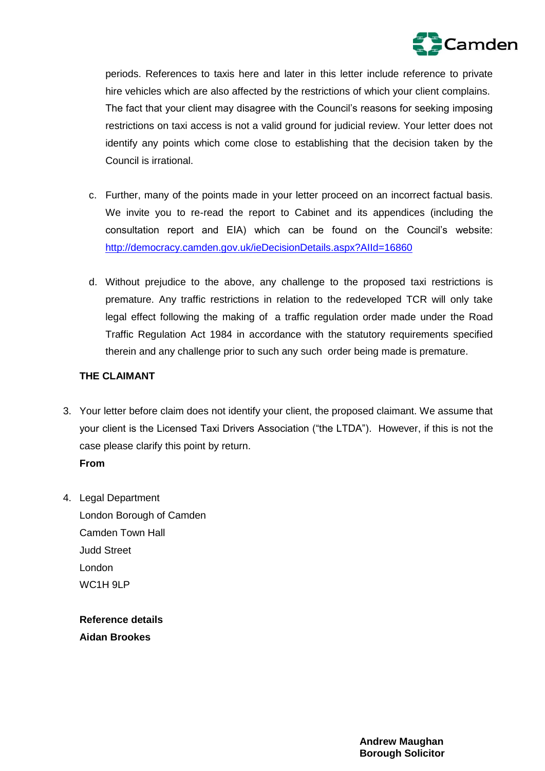

periods. References to taxis here and later in this letter include reference to private hire vehicles which are also affected by the restrictions of which your client complains. The fact that your client may disagree with the Council's reasons for seeking imposing restrictions on taxi access is not a valid ground for judicial review. Your letter does not identify any points which come close to establishing that the decision taken by the Council is irrational.

- c. Further, many of the points made in your letter proceed on an incorrect factual basis. We invite you to re-read the report to Cabinet and its appendices (including the consultation report and EIA) which can be found on the Council's website: <http://democracy.camden.gov.uk/ieDecisionDetails.aspx?AIId=16860>
- d. Without prejudice to the above, any challenge to the proposed taxi restrictions is premature. Any traffic restrictions in relation to the redeveloped TCR will only take legal effect following the making of a traffic regulation order made under the Road Traffic Regulation Act 1984 in accordance with the statutory requirements specified therein and any challenge prior to such any such order being made is premature.

## **THE CLAIMANT**

- 3. Your letter before claim does not identify your client, the proposed claimant. We assume that your client is the Licensed Taxi Drivers Association ("the LTDA"). However, if this is not the case please clarify this point by return. **From**
- 4. Legal Department London Borough of Camden Camden Town Hall Judd Street London WC<sub>1</sub>H 9LP

**Reference details Aidan Brookes**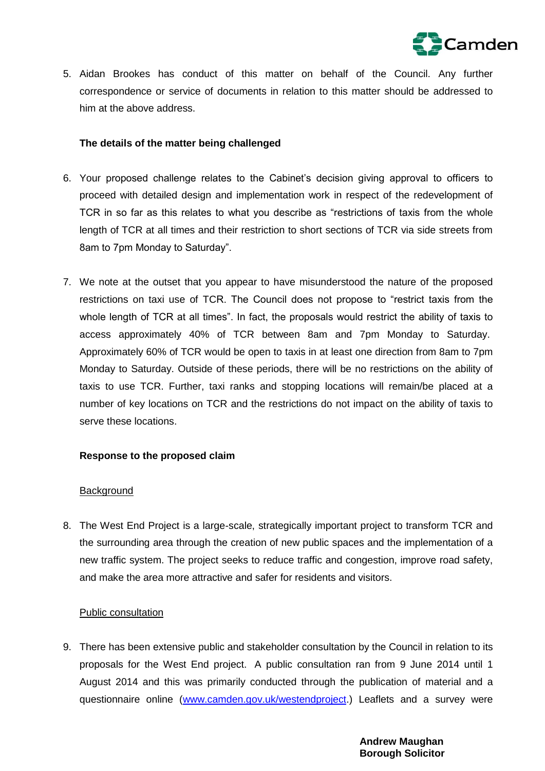

5. Aidan Brookes has conduct of this matter on behalf of the Council. Any further correspondence or service of documents in relation to this matter should be addressed to him at the above address.

# **The details of the matter being challenged**

- 6. Your proposed challenge relates to the Cabinet's decision giving approval to officers to proceed with detailed design and implementation work in respect of the redevelopment of TCR in so far as this relates to what you describe as "restrictions of taxis from the whole length of TCR at all times and their restriction to short sections of TCR via side streets from 8am to 7pm Monday to Saturday".
- 7. We note at the outset that you appear to have misunderstood the nature of the proposed restrictions on taxi use of TCR. The Council does not propose to "restrict taxis from the whole length of TCR at all times". In fact, the proposals would restrict the ability of taxis to access approximately 40% of TCR between 8am and 7pm Monday to Saturday. Approximately 60% of TCR would be open to taxis in at least one direction from 8am to 7pm Monday to Saturday. Outside of these periods, there will be no restrictions on the ability of taxis to use TCR. Further, taxi ranks and stopping locations will remain/be placed at a number of key locations on TCR and the restrictions do not impact on the ability of taxis to serve these locations.

## **Response to the proposed claim**

## **Background**

8. The West End Project is a large-scale, strategically important project to transform TCR and the surrounding area through the creation of new public spaces and the implementation of a new traffic system. The project seeks to reduce traffic and congestion, improve road safety, and make the area more attractive and safer for residents and visitors.

## Public consultation

9. There has been extensive public and stakeholder consultation by the Council in relation to its proposals for the West End project. A public consultation ran from 9 June 2014 until 1 August 2014 and this was primarily conducted through the publication of material and a questionnaire online [\(www.camden.gov.uk/westendproject.](http://www.camden.gov.uk/westendproject)) Leaflets and a survey were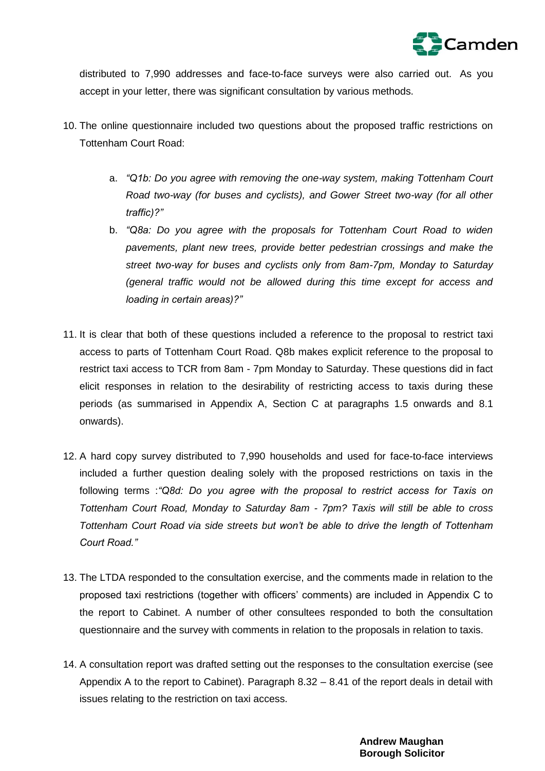

distributed to 7,990 addresses and face-to-face surveys were also carried out. As you accept in your letter, there was significant consultation by various methods.

- 10. The online questionnaire included two questions about the proposed traffic restrictions on Tottenham Court Road:
	- a. *"Q1b: Do you agree with removing the one-way system, making Tottenham Court Road two-way (for buses and cyclists), and Gower Street two-way (for all other traffic)?"*
	- b. *"Q8a: Do you agree with the proposals for Tottenham Court Road to widen pavements, plant new trees, provide better pedestrian crossings and make the street two-way for buses and cyclists only from 8am-7pm, Monday to Saturday (general traffic would not be allowed during this time except for access and loading in certain areas)?"*
- 11. It is clear that both of these questions included a reference to the proposal to restrict taxi access to parts of Tottenham Court Road. Q8b makes explicit reference to the proposal to restrict taxi access to TCR from 8am - 7pm Monday to Saturday. These questions did in fact elicit responses in relation to the desirability of restricting access to taxis during these periods (as summarised in Appendix A, Section C at paragraphs 1.5 onwards and 8.1 onwards).
- 12. A hard copy survey distributed to 7,990 households and used for face-to-face interviews included a further question dealing solely with the proposed restrictions on taxis in the following terms :*"Q8d: Do you agree with the proposal to restrict access for Taxis on Tottenham Court Road, Monday to Saturday 8am - 7pm? Taxis will still be able to cross Tottenham Court Road via side streets but won't be able to drive the length of Tottenham Court Road."*
- 13. The LTDA responded to the consultation exercise, and the comments made in relation to the proposed taxi restrictions (together with officers' comments) are included in Appendix C to the report to Cabinet. A number of other consultees responded to both the consultation questionnaire and the survey with comments in relation to the proposals in relation to taxis.
- 14. A consultation report was drafted setting out the responses to the consultation exercise (see Appendix A to the report to Cabinet). Paragraph 8.32 – 8.41 of the report deals in detail with issues relating to the restriction on taxi access.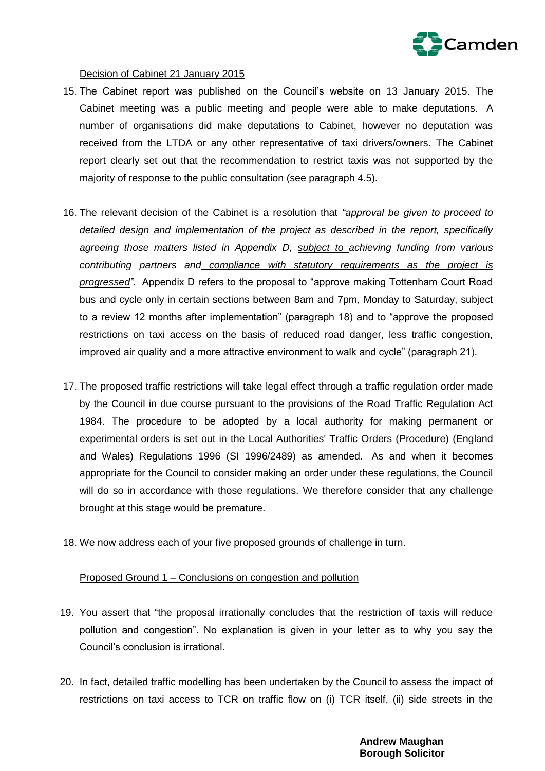

### Decision of Cabinet 21 January 2015

- 15. The Cabinet report was published on the Council's website on 13 January 2015. The Cabinet meeting was a public meeting and people were able to make deputations. A number of organisations did make deputations to Cabinet, however no deputation was received from the LTDA or any other representative of taxi drivers/owners. The Cabinet report clearly set out that the recommendation to restrict taxis was not supported by the majority of response to the public consultation (see paragraph 4.5).
- 16. The relevant decision of the Cabinet is a resolution that *"approval be given to proceed to detailed design and implementation of the project as described in the report, specifically agreeing those matters listed in Appendix D, subject to achieving funding from various contributing partners and compliance with statutory requirements as the project is progressed".* Appendix D refers to the proposal to "approve making Tottenham Court Road bus and cycle only in certain sections between 8am and 7pm, Monday to Saturday, subject to a review 12 months after implementation" (paragraph 18) and to "approve the proposed restrictions on taxi access on the basis of reduced road danger, less traffic congestion, improved air quality and a more attractive environment to walk and cycle" (paragraph 21).
- 17. The proposed traffic restrictions will take legal effect through a traffic regulation order made by the Council in due course pursuant to the provisions of the Road Traffic Regulation Act 1984. The procedure to be adopted by a local authority for making permanent or experimental orders is set out in the Local Authorities' Traffic Orders (Procedure) (England and Wales) Regulations 1996 (SI 1996/2489) as amended. As and when it becomes appropriate for the Council to consider making an order under these regulations, the Council will do so in accordance with those regulations. We therefore consider that any challenge brought at this stage would be premature.
- 18. We now address each of your five proposed grounds of challenge in turn.

#### Proposed Ground 1 – Conclusions on congestion and pollution

- 19. You assert that "the proposal irrationally concludes that the restriction of taxis will reduce pollution and congestion". No explanation is given in your letter as to why you say the Council's conclusion is irrational.
- 20. In fact, detailed traffic modelling has been undertaken by the Council to assess the impact of restrictions on taxi access to TCR on traffic flow on (i) TCR itself, (ii) side streets in the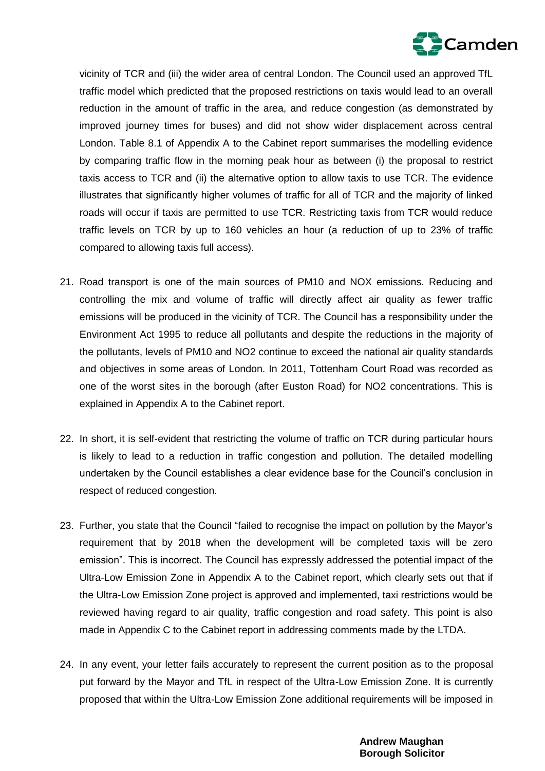

vicinity of TCR and (iii) the wider area of central London. The Council used an approved TfL traffic model which predicted that the proposed restrictions on taxis would lead to an overall reduction in the amount of traffic in the area, and reduce congestion (as demonstrated by improved journey times for buses) and did not show wider displacement across central London. Table 8.1 of Appendix A to the Cabinet report summarises the modelling evidence by comparing traffic flow in the morning peak hour as between (i) the proposal to restrict taxis access to TCR and (ii) the alternative option to allow taxis to use TCR. The evidence illustrates that significantly higher volumes of traffic for all of TCR and the majority of linked roads will occur if taxis are permitted to use TCR. Restricting taxis from TCR would reduce traffic levels on TCR by up to 160 vehicles an hour (a reduction of up to 23% of traffic compared to allowing taxis full access).

- 21. Road transport is one of the main sources of PM10 and NOX emissions. Reducing and controlling the mix and volume of traffic will directly affect air quality as fewer traffic emissions will be produced in the vicinity of TCR. The Council has a responsibility under the Environment Act 1995 to reduce all pollutants and despite the reductions in the majority of the pollutants, levels of PM10 and NO2 continue to exceed the national air quality standards and objectives in some areas of London. In 2011, Tottenham Court Road was recorded as one of the worst sites in the borough (after Euston Road) for NO2 concentrations. This is explained in Appendix A to the Cabinet report.
- 22. In short, it is self-evident that restricting the volume of traffic on TCR during particular hours is likely to lead to a reduction in traffic congestion and pollution. The detailed modelling undertaken by the Council establishes a clear evidence base for the Council's conclusion in respect of reduced congestion.
- 23. Further, you state that the Council "failed to recognise the impact on pollution by the Mayor's requirement that by 2018 when the development will be completed taxis will be zero emission". This is incorrect. The Council has expressly addressed the potential impact of the Ultra-Low Emission Zone in Appendix A to the Cabinet report, which clearly sets out that if the Ultra-Low Emission Zone project is approved and implemented, taxi restrictions would be reviewed having regard to air quality, traffic congestion and road safety. This point is also made in Appendix C to the Cabinet report in addressing comments made by the LTDA.
- 24. In any event, your letter fails accurately to represent the current position as to the proposal put forward by the Mayor and TfL in respect of the Ultra-Low Emission Zone. It is currently proposed that within the Ultra-Low Emission Zone additional requirements will be imposed in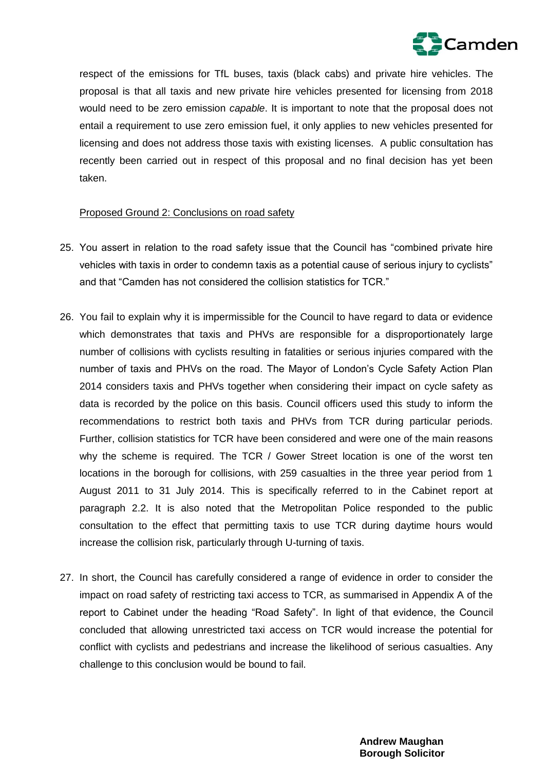

respect of the emissions for TfL buses, taxis (black cabs) and private hire vehicles. The proposal is that all taxis and new private hire vehicles presented for licensing from 2018 would need to be zero emission *capable*. It is important to note that the proposal does not entail a requirement to use zero emission fuel, it only applies to new vehicles presented for licensing and does not address those taxis with existing licenses. A public consultation has recently been carried out in respect of this proposal and no final decision has yet been taken.

### Proposed Ground 2: Conclusions on road safety

- 25. You assert in relation to the road safety issue that the Council has "combined private hire vehicles with taxis in order to condemn taxis as a potential cause of serious injury to cyclists" and that "Camden has not considered the collision statistics for TCR."
- 26. You fail to explain why it is impermissible for the Council to have regard to data or evidence which demonstrates that taxis and PHVs are responsible for a disproportionately large number of collisions with cyclists resulting in fatalities or serious injuries compared with the number of taxis and PHVs on the road. The Mayor of London's Cycle Safety Action Plan 2014 considers taxis and PHVs together when considering their impact on cycle safety as data is recorded by the police on this basis. Council officers used this study to inform the recommendations to restrict both taxis and PHVs from TCR during particular periods. Further, collision statistics for TCR have been considered and were one of the main reasons why the scheme is required. The TCR / Gower Street location is one of the worst ten locations in the borough for collisions, with 259 casualties in the three year period from 1 August 2011 to 31 July 2014. This is specifically referred to in the Cabinet report at paragraph 2.2. It is also noted that the Metropolitan Police responded to the public consultation to the effect that permitting taxis to use TCR during daytime hours would increase the collision risk, particularly through U-turning of taxis.
- 27. In short, the Council has carefully considered a range of evidence in order to consider the impact on road safety of restricting taxi access to TCR, as summarised in Appendix A of the report to Cabinet under the heading "Road Safety". In light of that evidence, the Council concluded that allowing unrestricted taxi access on TCR would increase the potential for conflict with cyclists and pedestrians and increase the likelihood of serious casualties. Any challenge to this conclusion would be bound to fail.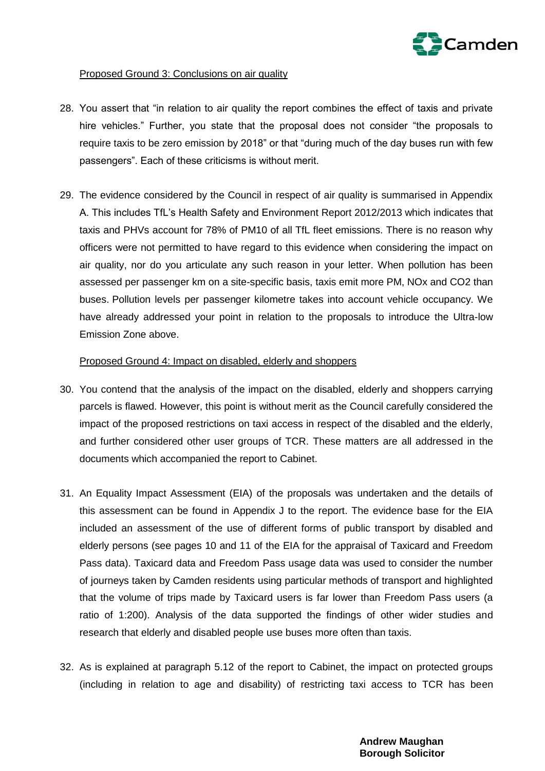

# Proposed Ground 3: Conclusions on air quality

- 28. You assert that "in relation to air quality the report combines the effect of taxis and private hire vehicles." Further, you state that the proposal does not consider "the proposals to require taxis to be zero emission by 2018" or that "during much of the day buses run with few passengers". Each of these criticisms is without merit.
- 29. The evidence considered by the Council in respect of air quality is summarised in Appendix A. This includes TfL's Health Safety and Environment Report 2012/2013 which indicates that taxis and PHVs account for 78% of PM10 of all TfL fleet emissions. There is no reason why officers were not permitted to have regard to this evidence when considering the impact on air quality, nor do you articulate any such reason in your letter. When pollution has been assessed per passenger km on a site-specific basis, taxis emit more PM, NOx and CO2 than buses. Pollution levels per passenger kilometre takes into account vehicle occupancy. We have already addressed your point in relation to the proposals to introduce the Ultra-low Emission Zone above.

### Proposed Ground 4: Impact on disabled, elderly and shoppers

- 30. You contend that the analysis of the impact on the disabled, elderly and shoppers carrying parcels is flawed. However, this point is without merit as the Council carefully considered the impact of the proposed restrictions on taxi access in respect of the disabled and the elderly, and further considered other user groups of TCR. These matters are all addressed in the documents which accompanied the report to Cabinet.
- 31. An Equality Impact Assessment (EIA) of the proposals was undertaken and the details of this assessment can be found in Appendix J to the report. The evidence base for the EIA included an assessment of the use of different forms of public transport by disabled and elderly persons (see pages 10 and 11 of the EIA for the appraisal of Taxicard and Freedom Pass data). Taxicard data and Freedom Pass usage data was used to consider the number of journeys taken by Camden residents using particular methods of transport and highlighted that the volume of trips made by Taxicard users is far lower than Freedom Pass users (a ratio of 1:200). Analysis of the data supported the findings of other wider studies and research that elderly and disabled people use buses more often than taxis.
- 32. As is explained at paragraph 5.12 of the report to Cabinet, the impact on protected groups (including in relation to age and disability) of restricting taxi access to TCR has been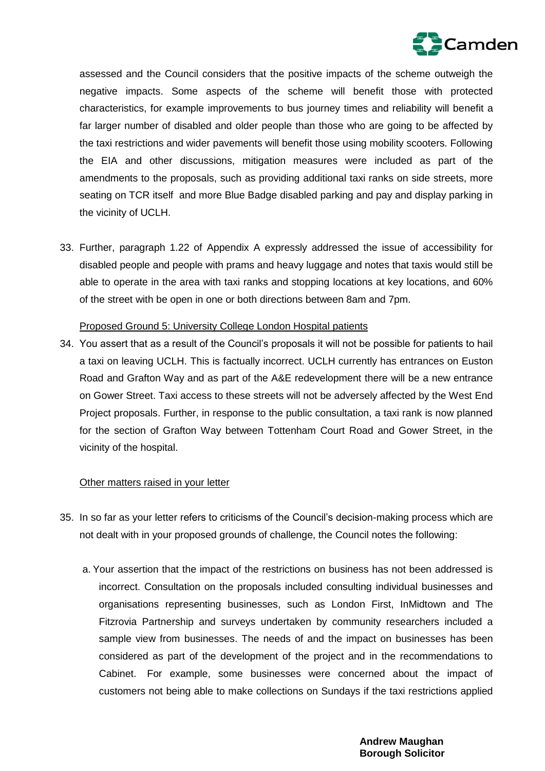

assessed and the Council considers that the positive impacts of the scheme outweigh the negative impacts. Some aspects of the scheme will benefit those with protected characteristics, for example improvements to bus journey times and reliability will benefit a far larger number of disabled and older people than those who are going to be affected by the taxi restrictions and wider pavements will benefit those using mobility scooters. Following the EIA and other discussions, mitigation measures were included as part of the amendments to the proposals, such as providing additional taxi ranks on side streets, more seating on TCR itself and more Blue Badge disabled parking and pay and display parking in the vicinity of UCLH.

33. Further, paragraph 1.22 of Appendix A expressly addressed the issue of accessibility for disabled people and people with prams and heavy luggage and notes that taxis would still be able to operate in the area with taxi ranks and stopping locations at key locations, and 60% of the street with be open in one or both directions between 8am and 7pm.

#### Proposed Ground 5: University College London Hospital patients

34. You assert that as a result of the Council's proposals it will not be possible for patients to hail a taxi on leaving UCLH. This is factually incorrect. UCLH currently has entrances on Euston Road and Grafton Way and as part of the A&E redevelopment there will be a new entrance on Gower Street. Taxi access to these streets will not be adversely affected by the West End Project proposals. Further, in response to the public consultation, a taxi rank is now planned for the section of Grafton Way between Tottenham Court Road and Gower Street, in the vicinity of the hospital.

#### Other matters raised in your letter

- 35. In so far as your letter refers to criticisms of the Council's decision-making process which are not dealt with in your proposed grounds of challenge, the Council notes the following:
	- a. Your assertion that the impact of the restrictions on business has not been addressed is incorrect. Consultation on the proposals included consulting individual businesses and organisations representing businesses, such as London First, InMidtown and The Fitzrovia Partnership and surveys undertaken by community researchers included a sample view from businesses. The needs of and the impact on businesses has been considered as part of the development of the project and in the recommendations to Cabinet. For example, some businesses were concerned about the impact of customers not being able to make collections on Sundays if the taxi restrictions applied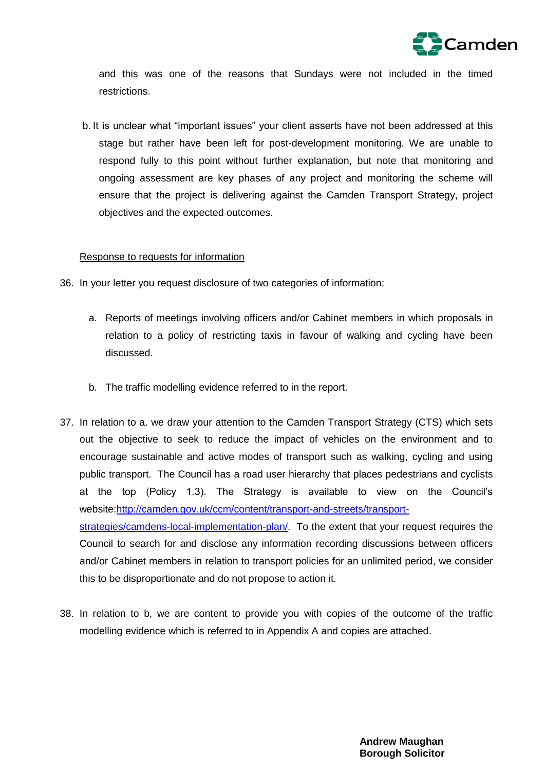

and this was one of the reasons that Sundays were not included in the timed restrictions.

b. It is unclear what "important issues" your client asserts have not been addressed at this stage but rather have been left for post-development monitoring. We are unable to respond fully to this point without further explanation, but note that monitoring and ongoing assessment are key phases of any project and monitoring the scheme will ensure that the project is delivering against the Camden Transport Strategy, project objectives and the expected outcomes.

### Response to requests for information

- 36. In your letter you request disclosure of two categories of information:
	- a. Reports of meetings involving officers and/or Cabinet members in which proposals in relation to a policy of restricting taxis in favour of walking and cycling have been discussed.
	- b. The traffic modelling evidence referred to in the report.
- 37. In relation to a. we draw your attention to the Camden Transport Strategy (CTS) which sets out the objective to seek to reduce the impact of vehicles on the environment and to encourage sustainable and active modes of transport such as walking, cycling and using public transport. The Council has a road user hierarchy that places pedestrians and cyclists at the top (Policy 1.3). The Strategy is available to view on the Council's website[:http://camden.gov.uk/ccm/content/transport-and-streets/transport](http://camden.gov.uk/ccm/content/transport-and-streets/transport-strategies/camdens-local-implementation-plan/)[strategies/camdens-local-implementation-plan/.](http://camden.gov.uk/ccm/content/transport-and-streets/transport-strategies/camdens-local-implementation-plan/) To the extent that your request requires the Council to search for and disclose any information recording discussions between officers and/or Cabinet members in relation to transport policies for an unlimited period, we consider this to be disproportionate and do not propose to action it.
- 38. In relation to b, we are content to provide you with copies of the outcome of the traffic modelling evidence which is referred to in Appendix A and copies are attached.